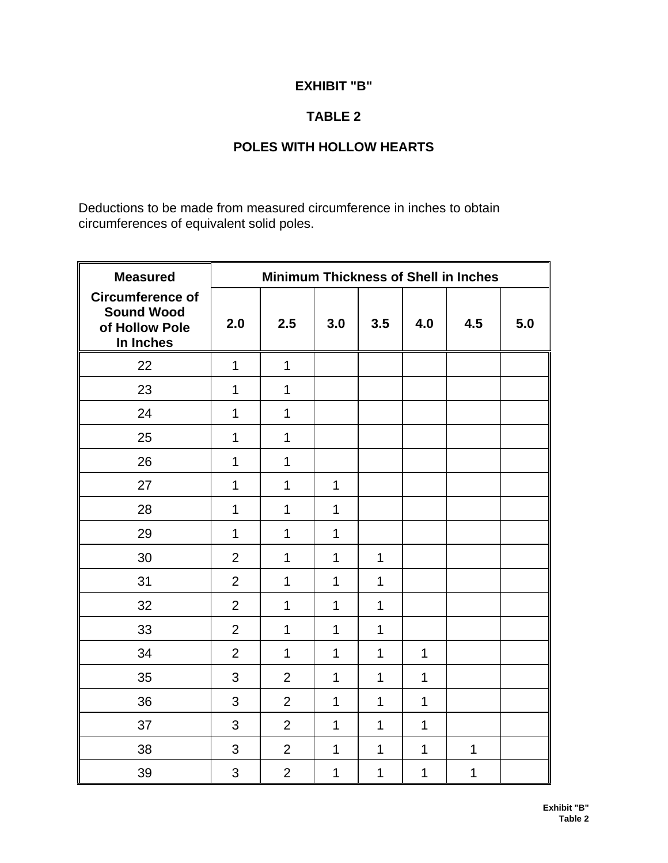## **EXHIBIT "B"**

## **TABLE 2**

## **POLES WITH HOLLOW HEARTS**

Deductions to be made from measured circumference in inches to obtain circumferences of equivalent solid poles.

| <b>Measured</b>                                                             | <b>Minimum Thickness of Shell in Inches</b> |                |              |              |              |              |     |
|-----------------------------------------------------------------------------|---------------------------------------------|----------------|--------------|--------------|--------------|--------------|-----|
| <b>Circumference of</b><br><b>Sound Wood</b><br>of Hollow Pole<br>In Inches | 2.0                                         | 2.5            | 3.0          | 3.5          | 4.0          | 4.5          | 5.0 |
| 22                                                                          | $\mathbf{1}$                                | $\mathbf{1}$   |              |              |              |              |     |
| 23                                                                          | $\mathbf{1}$                                | $\mathbf{1}$   |              |              |              |              |     |
| 24                                                                          | 1                                           | $\mathbf{1}$   |              |              |              |              |     |
| 25                                                                          | $\mathbf{1}$                                | $\mathbf{1}$   |              |              |              |              |     |
| 26                                                                          | $\mathbf{1}$                                | $\mathbf{1}$   |              |              |              |              |     |
| 27                                                                          | $\mathbf{1}$                                | $\mathbf{1}$   | $\mathbf{1}$ |              |              |              |     |
| 28                                                                          | $\mathbf{1}$                                | $\mathbf{1}$   | $\mathbf{1}$ |              |              |              |     |
| 29                                                                          | $\mathbf{1}$                                | $\mathbf{1}$   | $\mathbf{1}$ |              |              |              |     |
| 30                                                                          | $\overline{2}$                              | $\mathbf{1}$   | $\mathbf{1}$ | $\mathbf{1}$ |              |              |     |
| 31                                                                          | $\overline{2}$                              | $\mathbf{1}$   | $\mathbf{1}$ | $\mathbf{1}$ |              |              |     |
| 32                                                                          | $\overline{2}$                              | $\mathbf{1}$   | $\mathbf{1}$ | $\mathbf{1}$ |              |              |     |
| 33                                                                          | $\overline{2}$                              | $\mathbf{1}$   | $\mathbf{1}$ | $\mathbf{1}$ |              |              |     |
| 34                                                                          | $\overline{2}$                              | $\mathbf{1}$   | $\mathbf{1}$ | $\mathbf{1}$ | $\mathbf{1}$ |              |     |
| 35                                                                          | 3                                           | $\overline{2}$ | $\mathbf{1}$ | $\mathbf{1}$ | $\mathbf{1}$ |              |     |
| 36                                                                          | 3                                           | $\overline{2}$ | $\mathbf{1}$ | $\mathbf{1}$ | $\mathbf{1}$ |              |     |
| 37                                                                          | 3                                           | $\overline{2}$ | $\mathbf{1}$ | $\mathbf{1}$ | $\mathbf{1}$ |              |     |
| 38                                                                          | 3                                           | $\overline{2}$ | $\mathbf{1}$ | $\mathbf{1}$ | $\mathbf{1}$ | $\mathbf{1}$ |     |
| 39                                                                          | 3                                           | $\overline{2}$ | 1            | 1            | 1            | $\mathbf 1$  |     |